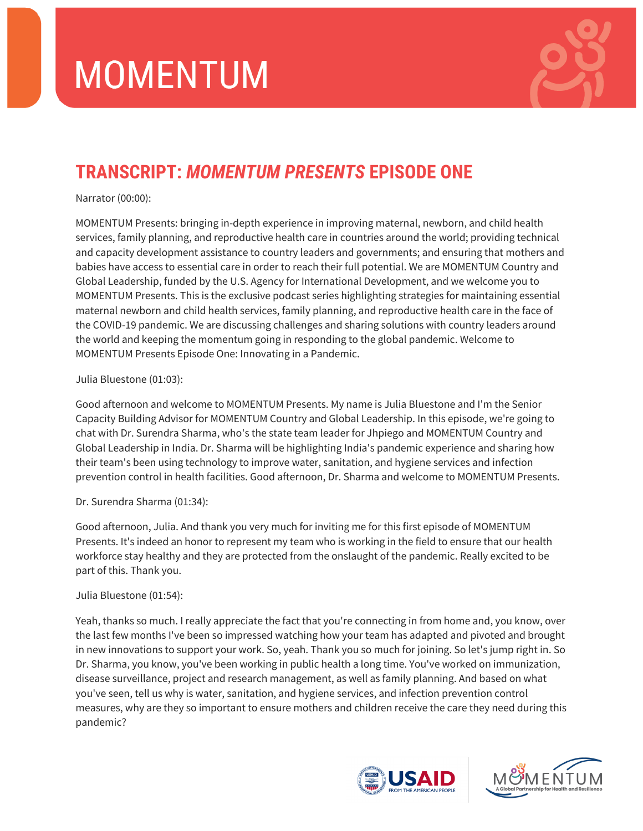

# **TRANSCRIPT:** *MOMENTUM PRESENTS* **EPISODE ONE**

Narrator (00:00):

MOMENTUM Presents: bringing in-depth experience in improving maternal, newborn, and child health services, family planning, and reproductive health care in countries around the world; providing technical and capacity development assistance to country leaders and governments; and ensuring that mothers and babies have access to essential care in order to reach their full potential. We are MOMENTUM Country and Global Leadership, funded by the U.S. Agency for International Development, and we welcome you to MOMENTUM Presents. This is the exclusive podcast series highlighting strategies for maintaining essential maternal newborn and child health services, family planning, and reproductive health care in the face of the COVID-19 pandemic. We are discussing challenges and sharing solutions with country leaders around the world and keeping the momentum going in responding to the global pandemic. Welcome to MOMENTUM Presents Episode One: Innovating in a Pandemic.

# Julia Bluestone (01:03):

Good afternoon and welcome to MOMENTUM Presents. My name is Julia Bluestone and I'm the Senior Capacity Building Advisor for MOMENTUM Country and Global Leadership. In this episode, we're going to chat with Dr. Surendra Sharma, who's the state team leader for Jhpiego and MOMENTUM Country and Global Leadership in India. Dr. Sharma will be highlighting India's pandemic experience and sharing how their team's been using technology to improve water, sanitation, and hygiene services and infection prevention control in health facilities. Good afternoon, Dr. Sharma and welcome to MOMENTUM Presents.

# Dr. Surendra Sharma (01:34):

Good afternoon, Julia. And thank you very much for inviting me for this first episode of MOMENTUM Presents. It's indeed an honor to represent my team who is working in the field to ensure that our health workforce stay healthy and they are protected from the onslaught of the pandemic. Really excited to be part of this. Thank you.

## Julia Bluestone (01:54):

Yeah, thanks so much. I really appreciate the fact that you're connecting in from home and, you know, over the last few months I've been so impressed watching how your team has adapted and pivoted and brought in new innovations to support your work. So, yeah. Thank you so much for joining. So let's jump right in. So Dr. Sharma, you know, you've been working in public health a long time. You've worked on immunization, disease surveillance, project and research management, as well as family planning. And based on what you've seen, tell us why is water, sanitation, and hygiene services, and infection prevention control measures, why are they so important to ensure mothers and children receive the care they need during this pandemic?



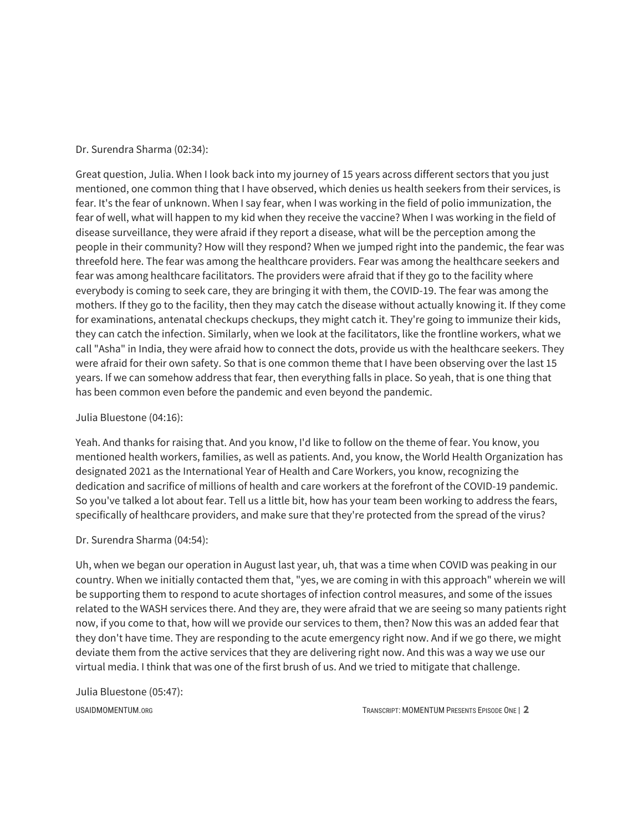#### Dr. Surendra Sharma (02:34):

Great question, Julia. When I look back into my journey of 15 years across different sectors that you just mentioned, one common thing that I have observed, which denies us health seekers from their services, is fear. It's the fear of unknown. When I say fear, when I was working in the field of polio immunization, the fear of well, what will happen to my kid when they receive the vaccine? When I was working in the field of disease surveillance, they were afraid if they report a disease, what will be the perception among the people in their community? How will they respond? When we jumped right into the pandemic, the fear was threefold here. The fear was among the healthcare providers. Fear was among the healthcare seekers and fear was among healthcare facilitators. The providers were afraid that if they go to the facility where everybody is coming to seek care, they are bringing it with them, the COVID-19. The fear was among the mothers. If they go to the facility, then they may catch the disease without actually knowing it. If they come for examinations, antenatal checkups checkups, they might catch it. They're going to immunize their kids, they can catch the infection. Similarly, when we look at the facilitators, like the frontline workers, what we call "Asha" in India, they were afraid how to connect the dots, provide us with the healthcare seekers. They were afraid for their own safety. So that is one common theme that I have been observing over the last 15 years. If we can somehow address that fear, then everything falls in place. So yeah, that is one thing that has been common even before the pandemic and even beyond the pandemic.

#### Julia Bluestone (04:16):

Yeah. And thanks for raising that. And you know, I'd like to follow on the theme of fear. You know, you mentioned health workers, families, as well as patients. And, you know, the World Health Organization has designated 2021 as the International Year of Health and Care Workers, you know, recognizing the dedication and sacrifice of millions of health and care workers at the forefront of the COVID-19 pandemic. So you've talked a lot about fear. Tell us a little bit, how has your team been working to address the fears, specifically of healthcare providers, and make sure that they're protected from the spread of the virus?

#### Dr. Surendra Sharma (04:54):

Uh, when we began our operation in August last year, uh, that was a time when COVID was peaking in our country. When we initially contacted them that, "yes, we are coming in with this approach" wherein we will be supporting them to respond to acute shortages of infection control measures, and some of the issues related to the WASH services there. And they are, they were afraid that we are seeing so many patients right now, if you come to that, how will we provide our services to them, then? Now this was an added fear that they don't have time. They are responding to the acute emergency right now. And if we go there, we might deviate them from the active services that they are delivering right now. And this was a way we use our virtual media. I think that was one of the first brush of us. And we tried to mitigate that challenge.

#### Julia Bluestone (05:47):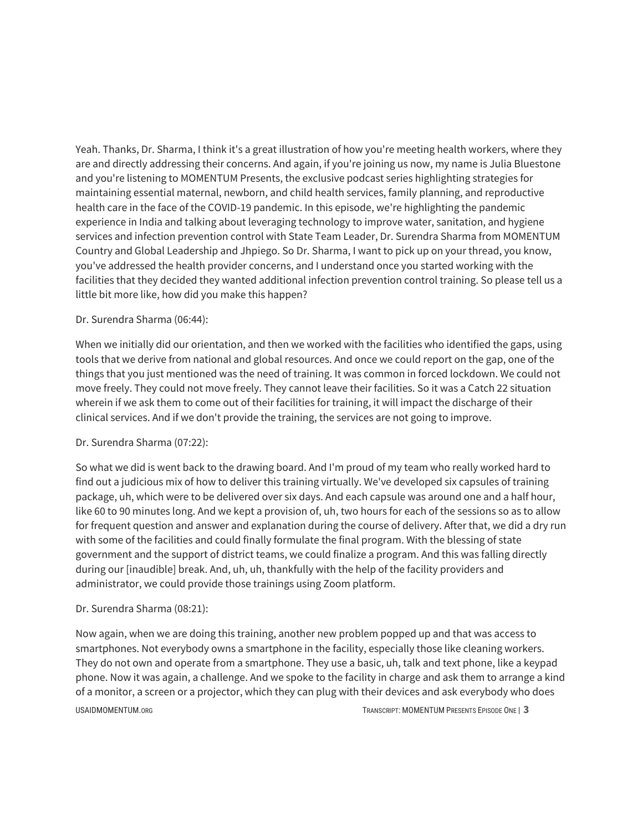Yeah. Thanks, Dr. Sharma, I think it's a great illustration of how you're meeting health workers, where they are and directly addressing their concerns. And again, if you're joining us now, my name is Julia Bluestone and you're listening to MOMENTUM Presents, the exclusive podcast series highlighting strategies for maintaining essential maternal, newborn, and child health services, family planning, and reproductive health care in the face of the COVID-19 pandemic. In this episode, we're highlighting the pandemic experience in India and talking about leveraging technology to improve water, sanitation, and hygiene services and infection prevention control with State Team Leader, Dr. Surendra Sharma from MOMENTUM Country and Global Leadership and Jhpiego. So Dr. Sharma, I want to pick up on your thread, you know, you've addressed the health provider concerns, and I understand once you started working with the facilities that they decided they wanted additional infection prevention control training. So please tell us a little bit more like, how did you make this happen?

## Dr. Surendra Sharma (06:44):

When we initially did our orientation, and then we worked with the facilities who identified the gaps, using tools that we derive from national and global resources. And once we could report on the gap, one of the things that you just mentioned was the need of training. It was common in forced lockdown. We could not move freely. They could not move freely. They cannot leave their facilities. So it was a Catch 22 situation wherein if we ask them to come out of their facilities for training, it will impact the discharge of their clinical services. And if we don't provide the training, the services are not going to improve.

## Dr. Surendra Sharma (07:22):

So what we did is went back to the drawing board. And I'm proud of my team who really worked hard to find out a judicious mix of how to deliver this training virtually. We've developed six capsules of training package, uh, which were to be delivered over six days. And each capsule was around one and a half hour, like 60 to 90 minutes long. And we kept a provision of, uh, two hours for each of the sessions so as to allow for frequent question and answer and explanation during the course of delivery. After that, we did a dry run with some of the facilities and could finally formulate the final program. With the blessing of state government and the support of district teams, we could finalize a program. And this was falling directly during our [inaudible] break. And, uh, uh, thankfully with the help of the facility providers and administrator, we could provide those trainings using Zoom platform.

## Dr. Surendra Sharma (08:21):

Now again, when we are doing this training, another new problem popped up and that was access to smartphones. Not everybody owns a smartphone in the facility, especially those like cleaning workers. They do not own and operate from a smartphone. They use a basic, uh, talk and text phone, like a keypad phone. Now it was again, a challenge. And we spoke to the facility in charge and ask them to arrange a kind of a monitor, a screen or a projector, which they can plug with their devices and ask everybody who does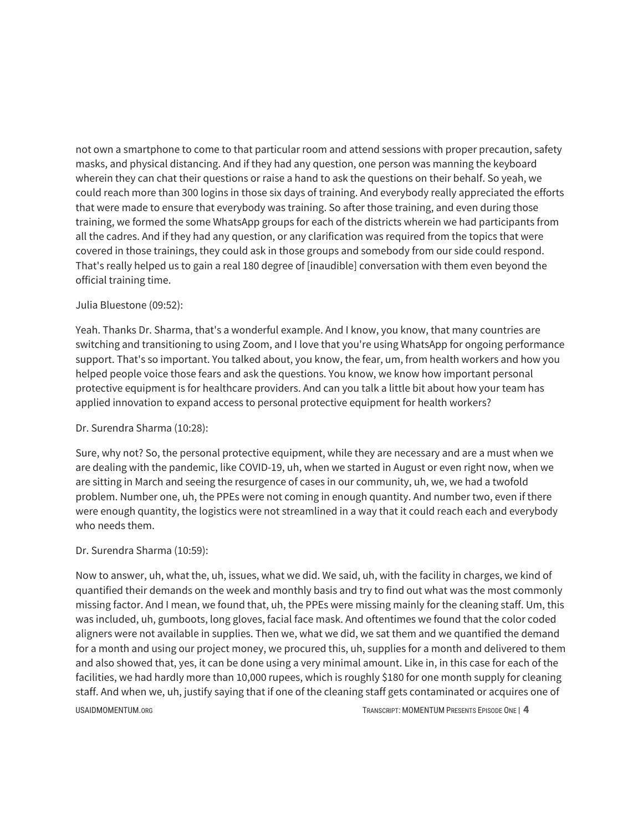not own a smartphone to come to that particular room and attend sessions with proper precaution, safety masks, and physical distancing. And if they had any question, one person was manning the keyboard wherein they can chat their questions or raise a hand to ask the questions on their behalf. So yeah, we could reach more than 300 logins in those six days of training. And everybody really appreciated the efforts that were made to ensure that everybody was training. So after those training, and even during those training, we formed the some WhatsApp groups for each of the districts wherein we had participants from all the cadres. And if they had any question, or any clarification was required from the topics that were covered in those trainings, they could ask in those groups and somebody from our side could respond. That's really helped us to gain a real 180 degree of [inaudible] conversation with them even beyond the official training time.

#### Julia Bluestone (09:52):

Yeah. Thanks Dr. Sharma, that's a wonderful example. And I know, you know, that many countries are switching and transitioning to using Zoom, and I love that you're using WhatsApp for ongoing performance support. That's so important. You talked about, you know, the fear, um, from health workers and how you helped people voice those fears and ask the questions. You know, we know how important personal protective equipment is for healthcare providers. And can you talk a little bit about how your team has applied innovation to expand access to personal protective equipment for health workers?

#### Dr. Surendra Sharma (10:28):

Sure, why not? So, the personal protective equipment, while they are necessary and are a must when we are dealing with the pandemic, like COVID-19, uh, when we started in August or even right now, when we are sitting in March and seeing the resurgence of cases in our community, uh, we, we had a twofold problem. Number one, uh, the PPEs were not coming in enough quantity. And number two, even if there were enough quantity, the logistics were not streamlined in a way that it could reach each and everybody who needs them.

## Dr. Surendra Sharma (10:59):

Now to answer, uh, what the, uh, issues, what we did. We said, uh, with the facility in charges, we kind of quantified their demands on the week and monthly basis and try to find out what was the most commonly missing factor. And I mean, we found that, uh, the PPEs were missing mainly for the cleaning staff. Um, this was included, uh, gumboots, long gloves, facial face mask. And oftentimes we found that the color coded aligners were not available in supplies. Then we, what we did, we sat them and we quantified the demand for a month and using our project money, we procured this, uh, supplies for a month and delivered to them and also showed that, yes, it can be done using a very minimal amount. Like in, in this case for each of the facilities, we had hardly more than 10,000 rupees, which is roughly \$180 for one month supply for cleaning staff. And when we, uh, justify saying that if one of the cleaning staff gets contaminated or acquires one of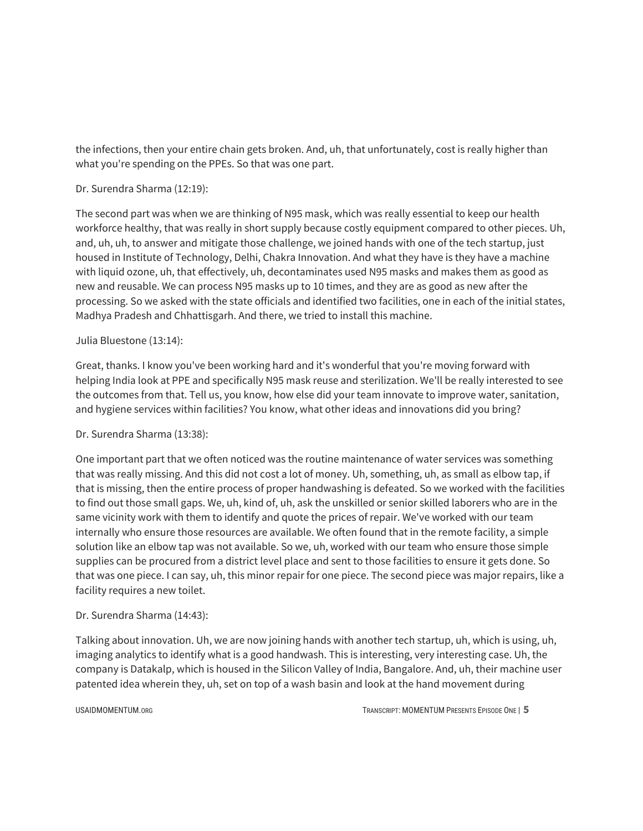the infections, then your entire chain gets broken. And, uh, that unfortunately, cost is really higher than what you're spending on the PPEs. So that was one part.

## Dr. Surendra Sharma (12:19):

The second part was when we are thinking of N95 mask, which was really essential to keep our health workforce healthy, that was really in short supply because costly equipment compared to other pieces. Uh, and, uh, uh, to answer and mitigate those challenge, we joined hands with one of the tech startup, just housed in Institute of Technology, Delhi, Chakra Innovation. And what they have is they have a machine with liquid ozone, uh, that effectively, uh, decontaminates used N95 masks and makes them as good as new and reusable. We can process N95 masks up to 10 times, and they are as good as new after the processing. So we asked with the state officials and identified two facilities, one in each of the initial states, Madhya Pradesh and Chhattisgarh. And there, we tried to install this machine.

# Julia Bluestone (13:14):

Great, thanks. I know you've been working hard and it's wonderful that you're moving forward with helping India look at PPE and specifically N95 mask reuse and sterilization. We'll be really interested to see the outcomes from that. Tell us, you know, how else did your team innovate to improve water, sanitation, and hygiene services within facilities? You know, what other ideas and innovations did you bring?

# Dr. Surendra Sharma (13:38):

One important part that we often noticed was the routine maintenance of water services was something that was really missing. And this did not cost a lot of money. Uh, something, uh, as small as elbow tap, if that is missing, then the entire process of proper handwashing is defeated. So we worked with the facilities to find out those small gaps. We, uh, kind of, uh, ask the unskilled or senior skilled laborers who are in the same vicinity work with them to identify and quote the prices of repair. We've worked with our team internally who ensure those resources are available. We often found that in the remote facility, a simple solution like an elbow tap was not available. So we, uh, worked with our team who ensure those simple supplies can be procured from a district level place and sent to those facilities to ensure it gets done. So that was one piece. I can say, uh, this minor repair for one piece. The second piece was major repairs, like a facility requires a new toilet.

## Dr. Surendra Sharma (14:43):

Talking about innovation. Uh, we are now joining hands with another tech startup, uh, which is using, uh, imaging analytics to identify what is a good handwash. This is interesting, very interesting case. Uh, the company is Datakalp, which is housed in the Silicon Valley of India, Bangalore. And, uh, their machine user patented idea wherein they, uh, set on top of a wash basin and look at the hand movement during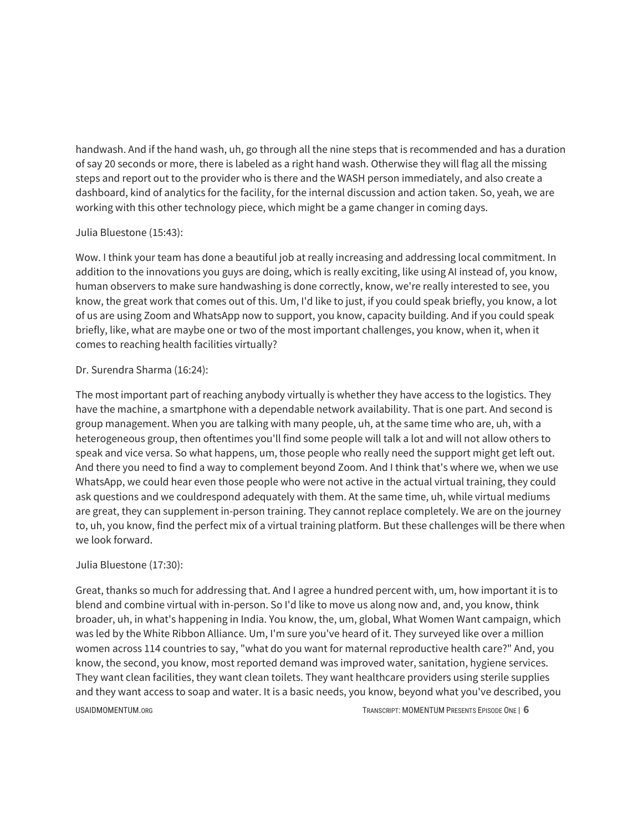handwash. And if the hand wash, uh, go through all the nine steps that is recommended and has a duration of say 20 seconds or more, there is labeled as a right hand wash. Otherwise they will flag all the missing steps and report out to the provider who is there and the WASH person immediately, and also create a dashboard, kind of analytics for the facility, for the internal discussion and action taken. So, yeah, we are working with this other technology piece, which might be a game changer in coming days.

## Julia Bluestone (15:43):

Wow. I think your team has done a beautiful job at really increasing and addressing local commitment. In addition to the innovations you guys are doing, which is really exciting, like using AI instead of, you know, human observers to make sure handwashing is done correctly, know, we're really interested to see, you know, the great work that comes out of this. Um, I'd like to just, if you could speak briefly, you know, a lot of us are using Zoom and WhatsApp now to support, you know, capacity building. And if you could speak briefly, like, what are maybe one or two of the most important challenges, you know, when it, when it comes to reaching health facilities virtually?

## Dr. Surendra Sharma (16:24):

The most important part of reaching anybody virtually is whether they have access to the logistics. They have the machine, a smartphone with a dependable network availability. That is one part. And second is group management. When you are talking with many people, uh, at the same time who are, uh, with a heterogeneous group, then oftentimes you'll find some people will talk a lot and will not allow others to speak and vice versa. So what happens, um, those people who really need the support might get left out. And there you need to find a way to complement beyond Zoom. And I think that's where we, when we use WhatsApp, we could hear even those people who were not active in the actual virtual training, they could ask questions and we couldrespond adequately with them. At the same time, uh, while virtual mediums are great, they can supplement in-person training. They cannot replace completely. We are on the journey to, uh, you know, find the perfect mix of a virtual training platform. But these challenges will be there when we look forward.

## Julia Bluestone (17:30):

Great, thanks so much for addressing that. And I agree a hundred percent with, um, how important it is to blend and combine virtual with in-person. So I'd like to move us along now and, and, you know, think broader, uh, in what's happening in India. You know, the, um, global, What Women Want campaign, which was led by the White Ribbon Alliance. Um, I'm sure you've heard of it. They surveyed like over a million women across 114 countries to say, "what do you want for maternal reproductive health care?" And, you know, the second, you know, most reported demand was improved water, sanitation, hygiene services. They want clean facilities, they want clean toilets. They want healthcare providers using sterile supplies and they want access to soap and water. It is a basic needs, you know, beyond what you've described, you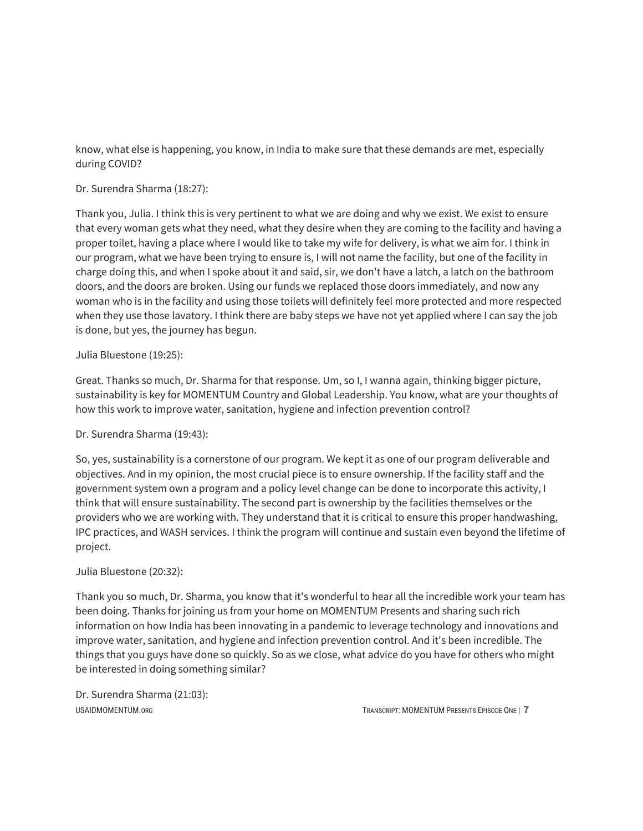know, what else is happening, you know, in India to make sure that these demands are met, especially during COVID?

# Dr. Surendra Sharma (18:27):

Thank you, Julia. I think this is very pertinent to what we are doing and why we exist. We exist to ensure that every woman gets what they need, what they desire when they are coming to the facility and having a proper toilet, having a place where I would like to take my wife for delivery, is what we aim for. I think in our program, what we have been trying to ensure is, I will not name the facility, but one of the facility in charge doing this, and when I spoke about it and said, sir, we don't have a latch, a latch on the bathroom doors, and the doors are broken. Using our funds we replaced those doors immediately, and now any woman who is in the facility and using those toilets will definitely feel more protected and more respected when they use those lavatory. I think there are baby steps we have not yet applied where I can say the job is done, but yes, the journey has begun.

# Julia Bluestone (19:25):

Great. Thanks so much, Dr. Sharma for that response. Um, so I, I wanna again, thinking bigger picture, sustainability is key for MOMENTUM Country and Global Leadership. You know, what are your thoughts of how this work to improve water, sanitation, hygiene and infection prevention control?

# Dr. Surendra Sharma (19:43):

So, yes, sustainability is a cornerstone of our program. We kept it as one of our program deliverable and objectives. And in my opinion, the most crucial piece is to ensure ownership. If the facility staff and the government system own a program and a policy level change can be done to incorporate this activity, I think that will ensure sustainability. The second part is ownership by the facilities themselves or the providers who we are working with. They understand that it is critical to ensure this proper handwashing, IPC practices, and WASH services. I think the program will continue and sustain even beyond the lifetime of project.

## Julia Bluestone (20:32):

Thank you so much, Dr. Sharma, you know that it's wonderful to hear all the incredible work your team has been doing. Thanks for joining us from your home on MOMENTUM Presents and sharing such rich information on how India has been innovating in a pandemic to leverage technology and innovations and improve water, sanitation, and hygiene and infection prevention control. And it's been incredible. The things that you guys have done so quickly. So as we close, what advice do you have for others who might be interested in doing something similar?

Dr. Surendra Sharma (21:03):